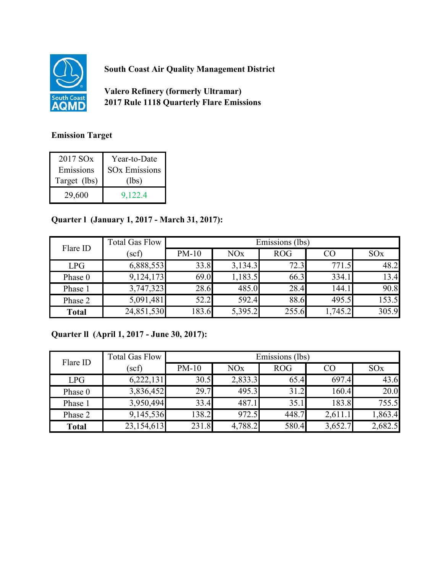

**South Coast Air Quality Management District**

**Valero Refinery (formerly Ultramar) 2017 Rule 1118 Quarterly Flare Emissions**

## **Emission Target**

| 2017 SO <sub>x</sub> | Year-to-Date                    |
|----------------------|---------------------------------|
| Emissions            | <b>SO<sub>x</sub></b> Emissions |
| Target (lbs)         | (lbs)                           |
| 29,600               | 9,122.4                         |

## **Quarter l (January 1, 2017 - March 31, 2017):**

| Flare ID     | <b>Total Gas Flow</b> | Emissions (lbs) |         |            |         |                 |
|--------------|-----------------------|-----------------|---------|------------|---------|-----------------|
|              | (scf)                 | $PM-10$         | NOx     | <b>ROG</b> | CO      | SO <sub>x</sub> |
| LPG          | 6,888,553             | 33.8            | 3,134.3 | 72.3       | 771.5   | 48.2            |
| Phase 0      | 9,124,173             | 69.0            | 1,183.5 | 66.3       | 334.1   | 13.4            |
| Phase 1      | 3,747,323             | 28.6            | 485.0   | 28.4       | 144.1   | 90.8            |
| Phase 2      | 5,091,481             | 52.2            | 592.4   | 88.6       | 495.5   | 153.5           |
| <b>Total</b> | 24,851,530            | 183.6           | 5,395.2 | 255.6      | 1,745.2 | 305.9           |

## **Quarter ll (April 1, 2017 - June 30, 2017):**

| Flare ID     | <b>Total Gas Flow</b> | Emissions (lbs) |         |            |         |                       |
|--------------|-----------------------|-----------------|---------|------------|---------|-----------------------|
|              | (scf)                 | $PM-10$         | NOx     | <b>ROG</b> | CO      | <b>SO<sub>x</sub></b> |
| LPG          | 6,222,131             | 30.5            | 2,833.3 | 65.4       | 697.4   | 43.6                  |
| Phase 0      | 3,836,452             | 29.7            | 495.3   | 31.2       | 160.4   | 20.0                  |
| Phase 1      | 3,950,494             | 33.4            | 487.1   | 35.1       | 183.8   | 755.5                 |
| Phase 2      | 9,145,536             | 138.2           | 972.5   | 448.7      | 2,611.1 | 1,863.4               |
| <b>Total</b> | 23,154,613            | 231.8           | 4,788.2 | 580.4      | 3,652.7 | 2,682.5               |